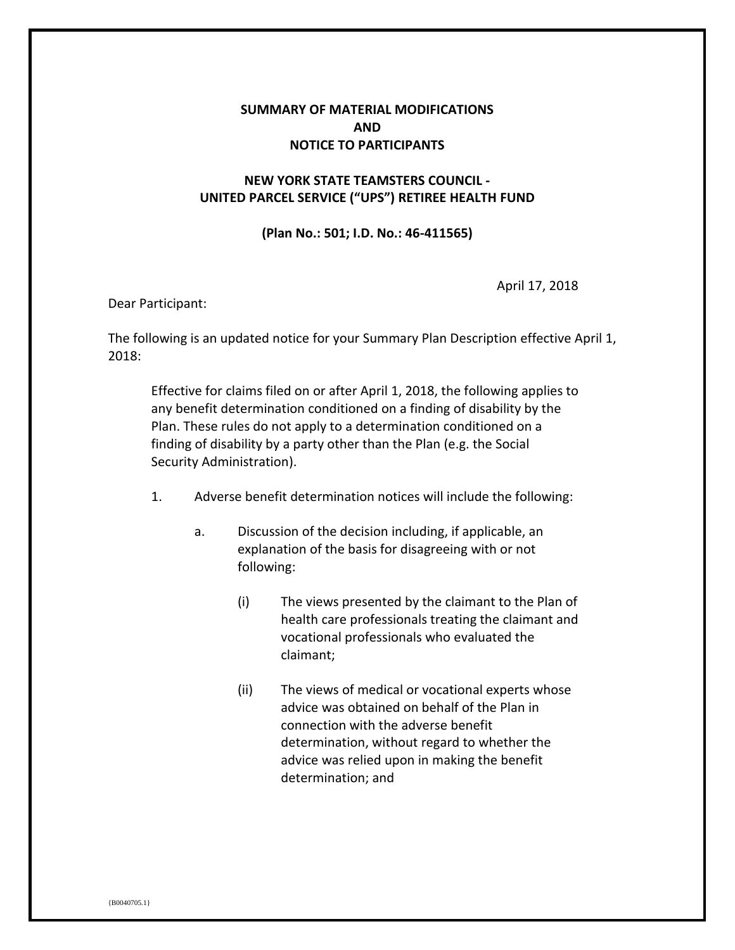## **SUMMARY OF MATERIAL MODIFICATIONS AND NOTICE TO PARTICIPANTS**

## **NEW YORK STATE TEAMSTERS COUNCIL - UNITED PARCEL SERVICE ("UPS") RETIREE HEALTH FUND**

## **(Plan No.: 501; I.D. No.: 46-411565)**

April 17, 2018

Dear Participant:

The following is an updated notice for your Summary Plan Description effective April 1, 2018:

Effective for claims filed on or after April 1, 2018, the following applies to any benefit determination conditioned on a finding of disability by the Plan. These rules do not apply to a determination conditioned on a finding of disability by a party other than the Plan (e.g. the Social Security Administration).

- 1. Adverse benefit determination notices will include the following:
	- a. Discussion of the decision including, if applicable, an explanation of the basis for disagreeing with or not following:
		- (i) The views presented by the claimant to the Plan of health care professionals treating the claimant and vocational professionals who evaluated the claimant;
		- (ii) The views of medical or vocational experts whose advice was obtained on behalf of the Plan in connection with the adverse benefit determination, without regard to whether the advice was relied upon in making the benefit determination; and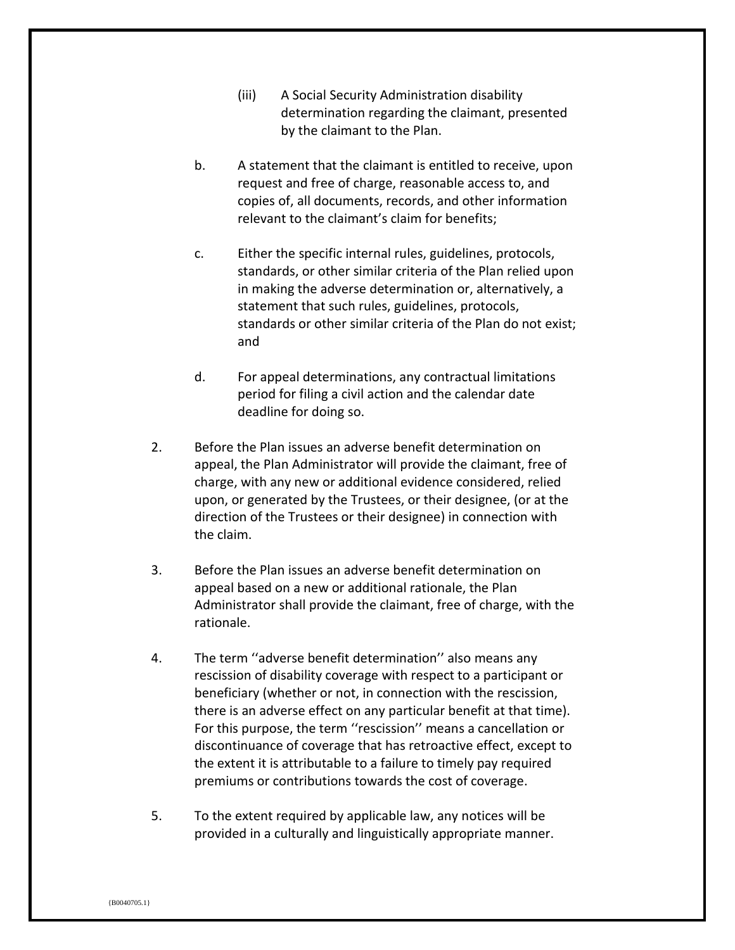- (iii) A Social Security Administration disability determination regarding the claimant, presented by the claimant to the Plan.
- b. A statement that the claimant is entitled to receive, upon request and free of charge, reasonable access to, and copies of, all documents, records, and other information relevant to the claimant's claim for benefits;
- c. Either the specific internal rules, guidelines, protocols, standards, or other similar criteria of the Plan relied upon in making the adverse determination or, alternatively, a statement that such rules, guidelines, protocols, standards or other similar criteria of the Plan do not exist; and
- d. For appeal determinations, any contractual limitations period for filing a civil action and the calendar date deadline for doing so.
- 2. Before the Plan issues an adverse benefit determination on appeal, the Plan Administrator will provide the claimant, free of charge, with any new or additional evidence considered, relied upon, or generated by the Trustees, or their designee, (or at the direction of the Trustees or their designee) in connection with the claim.
- 3. Before the Plan issues an adverse benefit determination on appeal based on a new or additional rationale, the Plan Administrator shall provide the claimant, free of charge, with the rationale.
- 4. The term ''adverse benefit determination'' also means any rescission of disability coverage with respect to a participant or beneficiary (whether or not, in connection with the rescission, there is an adverse effect on any particular benefit at that time). For this purpose, the term ''rescission'' means a cancellation or discontinuance of coverage that has retroactive effect, except to the extent it is attributable to a failure to timely pay required premiums or contributions towards the cost of coverage.
- 5. To the extent required by applicable law, any notices will be provided in a culturally and linguistically appropriate manner.